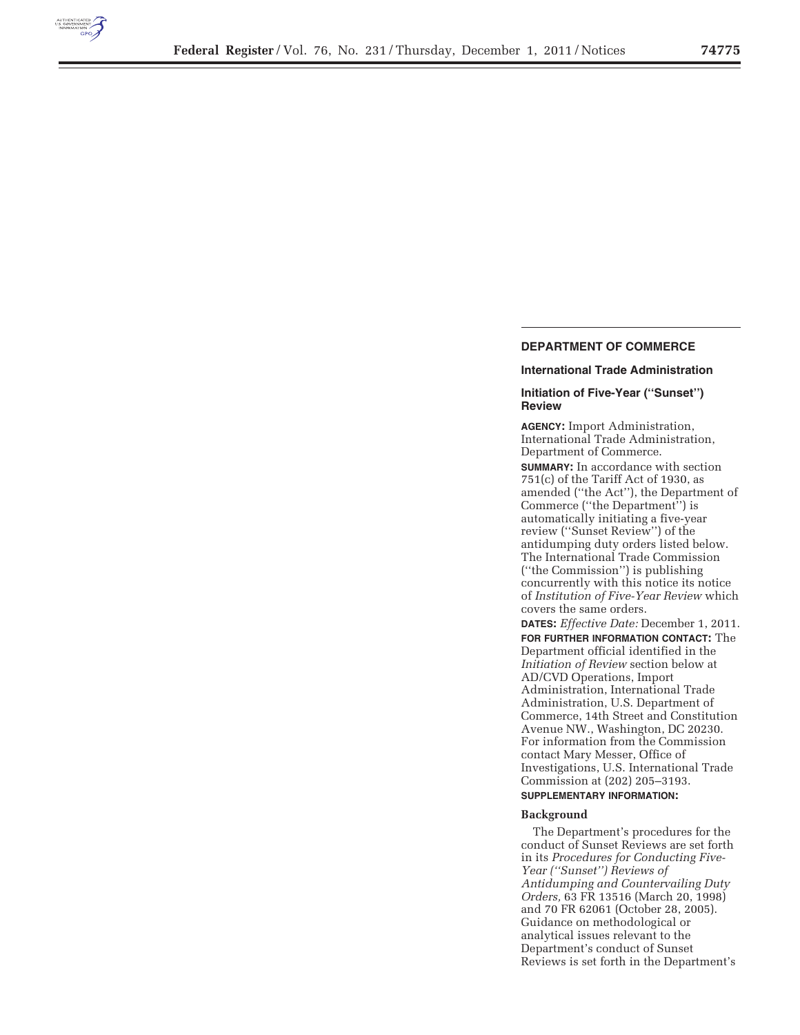

# **DEPARTMENT OF COMMERCE**

## **International Trade Administration**

# **Initiation of Five-Year (''Sunset'') Review**

**AGENCY:** Import Administration, International Trade Administration, Department of Commerce.

**SUMMARY:** In accordance with section  $751(c)$  of the Tariff Act of 1930, as amended (''the Act''), the Department of Commerce (''the Department'') is automatically initiating a five-year review (''Sunset Review'') of the antidumping duty orders listed below. The International Trade Commission (''the Commission'') is publishing concurrently with this notice its notice of *Institution of Five-Year Review* which covers the same orders.

**DATES:** *Effective Date:* December 1, 2011. **FOR FURTHER INFORMATION CONTACT:** The Department official identified in the *Initiation of Review* section below at AD/CVD Operations, Import Administration, International Trade Administration, U.S. Department of Commerce, 14th Street and Constitution Avenue NW., Washington, DC 20230. For information from the Commission contact Mary Messer, Office of Investigations, U.S. International Trade Commission at (202) 205–3193. **SUPPLEMENTARY INFORMATION:** 

#### **Background**

The Department's procedures for the conduct of Sunset Reviews are set forth in its *Procedures for Conducting Five-Year (''Sunset'') Reviews of Antidumping and Countervailing Duty Orders,* 63 FR 13516 (March 20, 1998) and 70 FR 62061 (October 28, 2005). Guidance on methodological or analytical issues relevant to the Department's conduct of Sunset Reviews is set forth in the Department's